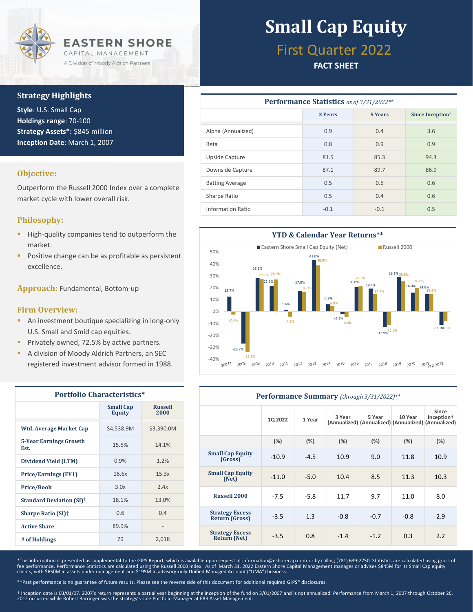

### **Strategy Highlights**

**Style**: U.S. Small Cap **Holdings range**: 70-100 **Strategy Assets\*:** \$845 million **Inception Date**: March 1, 2007

#### **Objective:**

Outperform the Russell 2000 Index over a complete market cycle with lower overall risk.

### **Philosophy:**

- **·** High-quality companies tend to outperform the market.
- Positive change can be as profitable as persistent excellence.

**Approach:** Fundamental, Bottom-up

#### **Firm Overview:**

- **E** An investment boutique specializing in long-only U.S. Small and Smid cap equities.
- Privately owned, 72.5% by active partners.
- A division of Moody Aldrich Partners, an SEC registered investment advisor formed in 1988.

| <b>Portfolio Characteristics*</b>          |                                   |                        |  |  |
|--------------------------------------------|-----------------------------------|------------------------|--|--|
|                                            | <b>Small Cap</b><br><b>Equity</b> | <b>Russell</b><br>2000 |  |  |
| <b>Wtd. Average Market Cap</b>             | \$4,538.9M                        | \$3,390.0M             |  |  |
| <b>5-Year Earnings Growth</b><br>Est.      | 15.5%                             | 14.1%                  |  |  |
| Dividend Yield (LTM)                       | 0.9%                              | 1.2%                   |  |  |
| <b>Price/Earnings (FY1)</b>                | 16.6x                             | 15.3x                  |  |  |
| <b>Price/Book</b>                          | 3.0x                              | 2.4x                   |  |  |
| <b>Standard Deviation (SI)<sup>†</sup></b> | 18.1%                             | 13.0%                  |  |  |
| <b>Sharpe Ratio (SI)</b> †                 | 0.6                               | 0.4                    |  |  |
| <b>Active Share</b>                        | 89.9%                             |                        |  |  |
| # of Holdings                              | 79                                | 2,018                  |  |  |

# **Small Cap Equity**

### First Quarter 2022

### **FACT SHEET**

| <b>Performance Statistics</b> as of 3/31/2022** |         |                |                              |  |  |  |
|-------------------------------------------------|---------|----------------|------------------------------|--|--|--|
|                                                 | 3 Years | <b>5 Years</b> | Since Inception <sup>†</sup> |  |  |  |
| Alpha (Annualized)                              | 0.9     | 0.4            | 3.6                          |  |  |  |
| Beta                                            | 0.8     | 0.9            | 0.9                          |  |  |  |
| Upside Capture                                  | 81.5    | 85.3           | 94.3                         |  |  |  |
| Downside Capture                                | 87.1    | 89.7           | 86.9                         |  |  |  |
| <b>Batting Average</b>                          | 0.5     | 0.5            | 0.6                          |  |  |  |
| Sharpe Ratio                                    | 0.5     | 0.4            | 0.6                          |  |  |  |
| <b>Information Ratio</b>                        | $-0.1$  | $-0.1$         | 0.5                          |  |  |  |



| Performance Summary (through 3/31/2022)**     |                |        |        |                                                               |         |                                 |
|-----------------------------------------------|----------------|--------|--------|---------------------------------------------------------------|---------|---------------------------------|
|                                               | <b>1Q 2022</b> | 1 Year | 3 Year | 5 Year<br>(Annualized) (Annualized) (Annualized) (Annualized) | 10 Year | Since<br>Inception <sup>+</sup> |
|                                               | (%)            | (%)    | (%)    | (%)                                                           | (%)     | (%)                             |
| <b>Small Cap Equity</b><br>(Gross)            | $-10.9$        | $-4.5$ | 10.9   | 9.0                                                           | 11.8    | 10.9                            |
| <b>Small Cap Equity</b><br>(Net)              | $-11.0$        | $-5.0$ | 10.4   | 8.5                                                           | 11.3    | 10.3                            |
| <b>Russell 2000</b>                           | $-7.5$         | $-5.8$ | 11.7   | 9.7                                                           | 11.0    | 8.0                             |
| <b>Strategy Excess</b><br>Return (Gross)      | $-3.5$         | 1.3    | $-0.8$ | $-0.7$                                                        | $-0.8$  | 2.9                             |
| <b>Strategy Excess</b><br><b>Return (Net)</b> | $-3.5$         | 0.8    | $-1.4$ | $-1.2$                                                        | 0.3     | 2.2                             |

\*This information is presented as supplemental to the GIPS Report, which is available upon request at information@eshorecap.com or by calling (781) 639-2750. Statistics are calculated using gross of<br>fee performance. Perfor

\*\*Past performance is no guarantee of future results. Please see the reverse side of this document for additional required GIPS® disclosures.

† Inception date is 03/01/07. 2007's return represents a partial year beginning at the inception of the fund on 3/01/2007 and is not annualized. Performance from March 1, 2007 through October 26,<br>2012 occurred while Robert